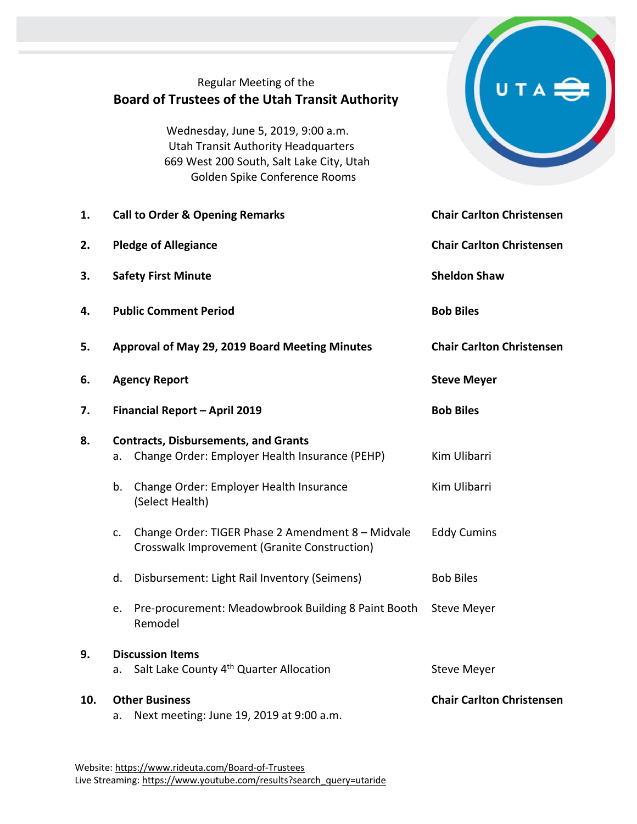|     | Regular Meeting of the<br><b>Board of Trustees of the Utah Transit Authority</b><br>Wednesday, June 5, 2019, 9:00 a.m.<br><b>Utah Transit Authority Headquarters</b><br>669 West 200 South, Salt Lake City, Utah<br>Golden Spike Conference Rooms |                                  |
|-----|---------------------------------------------------------------------------------------------------------------------------------------------------------------------------------------------------------------------------------------------------|----------------------------------|
| 1.  | <b>Call to Order &amp; Opening Remarks</b>                                                                                                                                                                                                        | <b>Chair Carlton Christensen</b> |
| 2.  | <b>Pledge of Allegiance</b>                                                                                                                                                                                                                       | <b>Chair Carlton Christensen</b> |
| 3.  | <b>Safety First Minute</b>                                                                                                                                                                                                                        | <b>Sheldon Shaw</b>              |
| 4.  | <b>Public Comment Period</b>                                                                                                                                                                                                                      | <b>Bob Biles</b>                 |
| 5.  | Approval of May 29, 2019 Board Meeting Minutes                                                                                                                                                                                                    | <b>Chair Carlton Christensen</b> |
| 6.  | <b>Agency Report</b>                                                                                                                                                                                                                              | <b>Steve Meyer</b>               |
| 7.  | Financial Report - April 2019                                                                                                                                                                                                                     | <b>Bob Biles</b>                 |
| 8.  | <b>Contracts, Disbursements, and Grants</b><br>Change Order: Employer Health Insurance (PEHP)<br>а.                                                                                                                                               | Kim Ulibarri                     |
|     | Change Order: Employer Health Insurance<br>b.<br>(Select Health)                                                                                                                                                                                  | Kim Ulibarri                     |
|     | Change Order: TIGER Phase 2 Amendment 8 - Midvale<br>c.<br>Crosswalk Improvement (Granite Construction)                                                                                                                                           | <b>Eddy Cumins</b>               |
|     | Disbursement: Light Rail Inventory (Seimens)<br>d.                                                                                                                                                                                                | <b>Bob Biles</b>                 |
|     | Pre-procurement: Meadowbrook Building 8 Paint Booth<br>e.<br>Remodel                                                                                                                                                                              | <b>Steve Meyer</b>               |
| 9.  | <b>Discussion Items</b><br>Salt Lake County 4 <sup>th</sup> Quarter Allocation<br>a.                                                                                                                                                              | <b>Steve Meyer</b>               |
| 10. | <b>Other Business</b><br>Next meeting: June 19, 2019 at 9:00 a.m.<br>a.                                                                                                                                                                           | <b>Chair Carlton Christensen</b> |